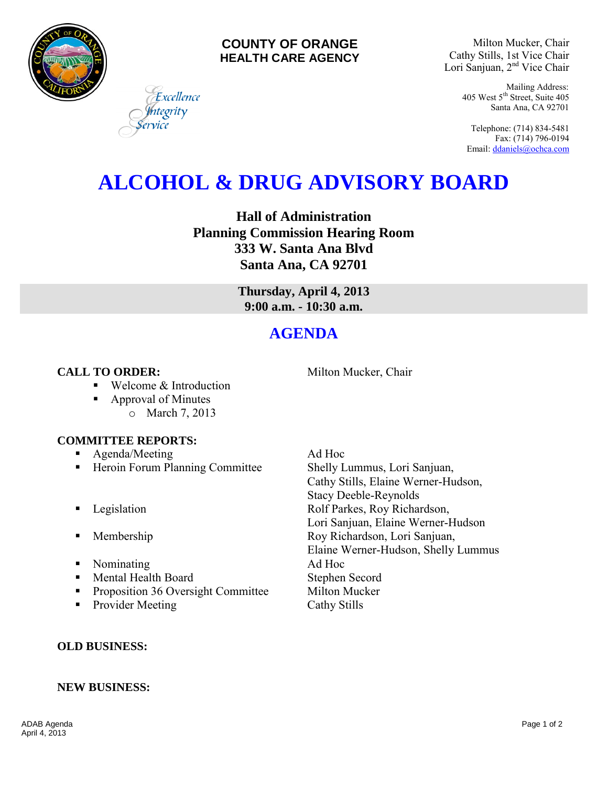



Milton Mucker, Chair Cathy Stills, 1st Vice Chair Lori Sanjuan, 2nd Vice Chair

> Mailing Address: 405 West 5th Street, Suite 405 Santa Ana, CA 92701

Telephone: (714) 834-5481 Fax: (714) 796-0194 Email[: ddaniels@ochca.com](mailto:ddaniels@ochca.com)

# **ALCOHOL & DRUG ADVISORY BOARD**

**Hall of Administration Planning Commission Hearing Room 333 W. Santa Ana Blvd Santa Ana, CA 92701** 

> **Thursday, April 4, 2013 9:00 a.m. - 10:30 a.m.**

## **AGENDA**

**CALL TO ORDER:** Milton Mucker, Chair

■ Welcome & Introduction

Excellence tegrity

■ Approval of Minutes o March 7, 2013

#### **COMMITTEE REPORTS:**

- Agenda/Meeting Ad Hoc
- Heroin Forum Planning Committee Shelly Lummus, Lori Sanjuan,
- 
- 
- Nominating Ad Hoc
- Mental Health Board Stephen Secord
- **•** Proposition 36 Oversight Committee Milton Mucker
- Provider Meeting Cathy Stills

Cathy Stills, Elaine Werner-Hudson, Stacy Deeble-Reynolds **Example 3** Legislation **Rolf Parkes, Roy Richardson,** Lori Sanjuan, Elaine Werner-Hudson **Membership Roy Richardson, Lori Sanjuan,** Elaine Werner-Hudson, Shelly Lummus

### **OLD BUSINESS:**

#### **NEW BUSINESS:**